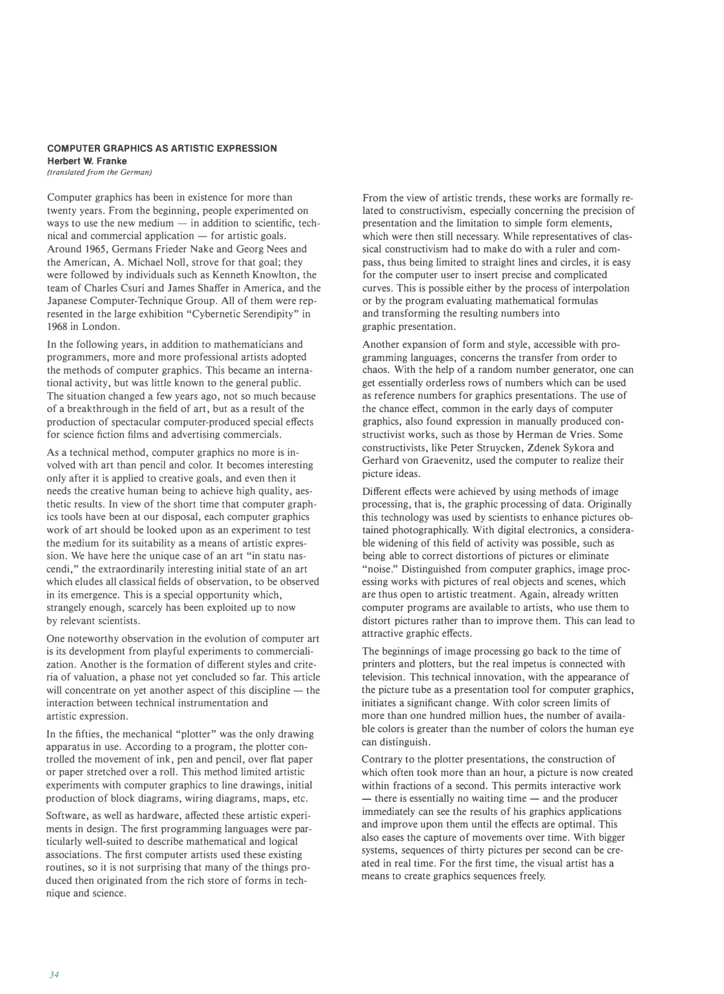## **COMPUTER GRAPHICS AS ARTISTIC EXPRESSION Herbert W. Franke**

*(translated from the German)* 

Computer graphics has been in existence for more than twenty years. From the beginning, people experimented on ways to use the new medium  $-$  in addition to scientific, tech $nical$  and commercial application  $-$  for artistic goals. Around 1965, Germans Frieder Nake and Georg Nees and the American, A. Michael Noll, strove for that goal; they were followed by individuals such as Kenneth Knowlton, the team of Charles Csuri and James Shaffer in America, and the Japanese Computer-Technique Group. All of them were represented in the large exhibition "Cybernetic Serendipity" in 1968 in London.

In the following years, in addition to mathematicians and programmers, more and more professional artists adopted the methods of computer graphics. This became an international activity, but was little known to the general public. The situation changed a few years ago, not so much because of a breakthrough in the field of art, but as a result of the production of spectacular computer-produced special effects for science fiction films and advertising commercials.

As a technical method, computer graphics no more is involved with art than pencil and color. It becomes interesting only after it is applied to creative goals, and even then it needs the creative human being to achieve high quality, aesthetic results. In view of the short time that computer graphics tools have been at our disposal, each computer graphics work of art should be looked upon as an experiment to test the medium for its suitability as a means of artistic expression. We have here the unique case of an art "in statu nascendi," the extraordinarily interesting initial state of an art which eludes all classical fields of observation, to be observed in its emergence. This is a special opportunity which, strangely enough, scarcely has been exploited up to now by relevant scientists.

One noteworthy observation in the evolution of computer art is its development from playful experiments to commercialization. Another is the formation of different styles and criteria of valuation, a phase not yet concluded so far. This article will concentrate on yet another aspect of this discipline  $-$  the interaction between technical instrumentation and artistic expression.

In the fifties, the mechanical "plotter" was the only drawing apparatus in use. According to a program, the plotter controlled the movement of ink, pen and pencil, over flat paper or paper stretched over a roll. This method limited artistic experiments with computer graphics to line drawings, initial production of block diagrams, wiring diagrams, maps, etc.

Software, as well as hardware, affected these artistic experiments in design. The first programming languages were particularly well-suited to describe mathematical and logical associations. The first computer artists used these existing routines, so it is not surprising that many of the things produced then originated from the rich store of forms in technique and science.

From the view of artistic trends, these works are formally related to constructivism, especially concerning the precision of presentation and the limitation to simple form elements, which were then still necessary. While representatives of classical constructivism had to make do with a ruler and compass, thus being limited to straight lines and circles, it is easy for the computer user to insert precise and complicated curves. This is possible either by the process of interpolation or by the program evaluating mathematical formulas and transforming the resulting numbers into graphic presentation.

Another expansion of form and style, accessible with programming languages, concerns the transfer from order to chaos. With the help of a random number generator, one can get essentially orderless rows of numbers which can be used as reference numbers for graphics presentations. The use of the chance effect, common in the early days of computer graphics, also found expression in manually produced constructivist works, such as those by Herman de Vries. Some constructivists, like Peter Struycken, Zdenek Sykora and Gerhard von Graevenitz, used the computer to realize their picture ideas.

Different effects were achieved by using methods of image processing, that is, the graphic processing of data. Originally this technology was used by scientists to enhance pictures obtained photographically. With digital electronics, a considerable widening of this field of activity was possible, such as being able to correct distortions of pictures or eliminate "noise." Distinguished from computer graphics, image processing works with pictures of real objects and scenes, which are thus open to artistic treatment. Again, already written computer programs are available to artists, who use them to distort pictures rather than to improve them. This can lead to attractive graphic effects.

The beginnings of image processing go back to the time of printers and plotters, but the real impetus is connected with television. This technical innovation, with the appearance of the picture tube as a presentation tool for computer graphics, initiates a significant change. With color screen limits of more than one hundred million hues, the number of available colors is greater than the number of colors the human eye can distinguish.

Contrary to the plotter presentations, the construction of which often took more than an hour, a picture is now created within fractions of a second. This permits interactive work  $-$  there is essentially no waiting time  $-$  and the producer immediately can see the results of his graphics applications and improve upon them until the effects are optimal. This also eases the capture of movements over time. With bigger systems, sequences of thirty pictures per second can be created in real time. For the first time, the visual artist has a means to create graphics sequences freely.